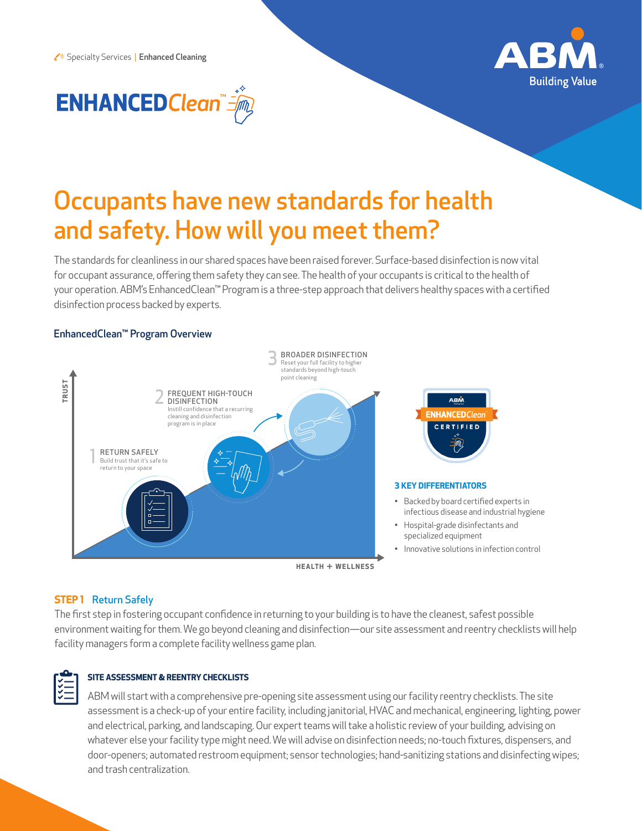



# Occupants have new standards for health and safety. How will you meet them?

The standards for cleanliness in our shared spaces have been raised forever. Surface-based disinfection is now vital for occupant assurance, offering them safety they can see. The health of your occupants is critical to the health of your operation. ABM's EnhancedClean™ Program is a three-step approach that delivers healthy spaces with a certified disinfection process backed by experts.

#### EnhancedClean™ Program Overview



# **STEP 1** Return Safely

The first step in fostering occupant confidence in returning to your building is to have the cleanest, safest possible environment waiting for them. We go beyond cleaning and disinfection—our site assessment and reentry checklists will help facility managers form a complete facility wellness game plan.



## **SITE ASSESSMENT & REENTRY CHECKLISTS**

ABM will start with a comprehensive pre-opening site assessment using our facility reentry checklists. The site assessment is a check-up of your entire facility, including janitorial, HVAC and mechanical, engineering, lighting, power and electrical, parking, and landscaping. Our expert teams will take a holistic review of your building, advising on whatever else your facility type might need. We will advise on disinfection needs; no-touch fixtures, dispensers, and door-openers; automated restroom equipment; sensor technologies; hand-sanitizing stations and disinfecting wipes; and trash centralization.